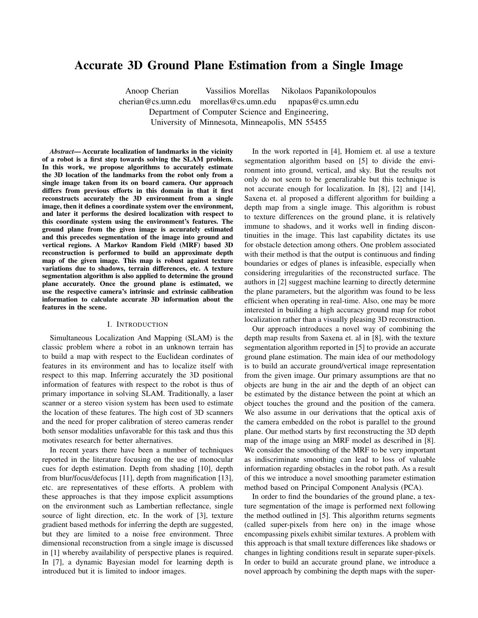# Accurate 3D Ground Plane Estimation from a Single Image

Anoop Cherian Vassilios Morellas Nikolaos Papanikolopoulos cherian@cs.umn.edu morellas@cs.umn.edu npapas@cs.umn.edu Department of Computer Science and Engineering, University of Minnesota, Minneapolis, MN 55455

*Abstract*— Accurate localization of landmarks in the vicinity of a robot is a first step towards solving the SLAM problem. In this work, we propose algorithms to accurately estimate the 3D location of the landmarks from the robot only from a single image taken from its on board camera. Our approach differs from previous efforts in this domain in that it first reconstructs accurately the 3D environment from a single image, then it defines a coordinate system over the environment, and later it performs the desired localization with respect to this coordinate system using the environment's features. The ground plane from the given image is accurately estimated and this precedes segmentation of the image into ground and vertical regions. A Markov Random Field (MRF) based 3D reconstruction is performed to build an approximate depth map of the given image. This map is robust against texture variations due to shadows, terrain differences, etc. A texture segmentation algorithm is also applied to determine the ground plane accurately. Once the ground plane is estimated, we use the respective camera's intrinsic and extrinsic calibration information to calculate accurate 3D information about the features in the scene.

## I. INTRODUCTION

Simultaneous Localization And Mapping (SLAM) is the classic problem where a robot in an unknown terrain has to build a map with respect to the Euclidean cordinates of features in its environment and has to localize itself with respect to this map. Inferring accurately the 3D positional information of features with respect to the robot is thus of primary importance in solving SLAM. Traditionally, a laser scanner or a stereo vision system has been used to estimate the location of these features. The high cost of 3D scanners and the need for proper calibration of stereo cameras render both sensor modalities unfavorable for this task and thus this motivates research for better alternatives.

In recent years there have been a number of techniques reported in the literature focusing on the use of monocular cues for depth estimation. Depth from shading [10], depth from blur/focus/defocus [11], depth from magnification [13], etc. are representatives of these efforts. A problem with these approaches is that they impose explicit assumptions on the environment such as Lambertian reflectance, single source of light direction, etc. In the work of [3], texture gradient based methods for inferring the depth are suggested, but they are limited to a noise free environment. Three dimensional reconstruction from a single image is discussed in [1] whereby availability of perspective planes is required. In [7], a dynamic Bayesian model for learning depth is introduced but it is limited to indoor images.

In the work reported in [4], Homiem et. al use a texture segmentation algorithm based on [5] to divide the environment into ground, vertical, and sky. But the results not only do not seem to be generalizable but this technique is not accurate enough for localization. In [8], [2] and [14], Saxena et. al proposed a different algorithm for building a depth map from a single image. This algorithm is robust to texture differences on the ground plane, it is relatively immune to shadows, and it works well in finding discontinuities in the image. This last capability dictates its use for obstacle detection among others. One problem associated with their method is that the output is continuous and finding boundaries or edges of planes is infeasible, especially when considering irregularities of the reconstructed surface. The authors in [2] suggest machine learning to directly determine the plane parameters, but the algorithm was found to be less efficient when operating in real-time. Also, one may be more interested in building a high accuracy ground map for robot localization rather than a visually pleasing 3D reconstruction.

Our approach introduces a novel way of combining the depth map results from Saxena et. al in [8], with the texture segmentation algorithm reported in [5] to provide an accurate ground plane estimation. The main idea of our methodology is to build an accurate ground/vertical image representation from the given image. Our primary assumptions are that no objects are hung in the air and the depth of an object can be estimated by the distance between the point at which an object touches the ground and the position of the camera. We also assume in our derivations that the optical axis of the camera embedded on the robot is parallel to the ground plane. Our method starts by first reconstructing the 3D depth map of the image using an MRF model as described in [8]. We consider the smoothing of the MRF to be very important as indiscriminate smoothing can lead to loss of valuable information regarding obstacles in the robot path. As a result of this we introduce a novel smoothing parameter estimation method based on Principal Component Analysis (PCA).

In order to find the boundaries of the ground plane, a texture segmentation of the image is performed next following the method outlined in [5]. This algorithm returns segments (called super-pixels from here on) in the image whose encompassing pixels exhibit similar textures. A problem with this approach is that small texture differences like shadows or changes in lighting conditions result in separate super-pixels. In order to build an accurate ground plane, we introduce a novel approach by combining the depth maps with the super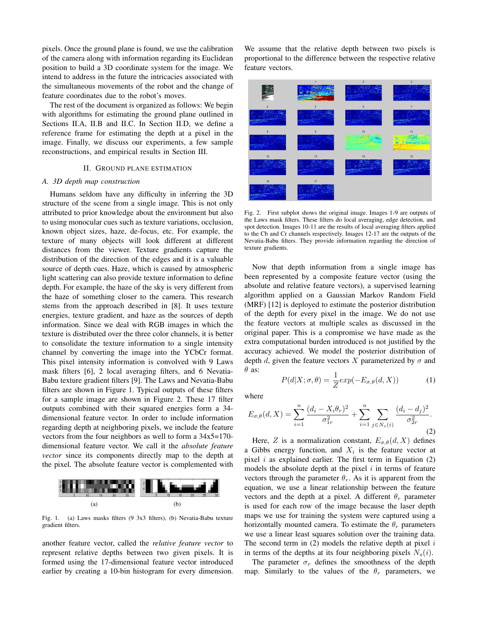pixels. Once the ground plane is found, we use the calibration of the camera along with information regarding its Euclidean position to build a 3D coordinate system for the image. We intend to address in the future the intricacies associated with the simultaneous movements of the robot and the change of feature coordinates due to the robot's moves.

The rest of the document is organized as follows: We begin with algorithms for estimating the ground plane outlined in Sections II.A, II.B and II.C. In Section II.D, we define a reference frame for estimating the depth at a pixel in the image. Finally, we discuss our experiments, a few sample reconstructions, and empirical results in Section III.

#### II. GROUND PLANE ESTIMATION

#### *A. 3D depth map construction*

Humans seldom have any difficulty in inferring the 3D structure of the scene from a single image. This is not only attributed to prior knowledge about the environment but also to using monocular cues such as texture variations, occlusion, known object sizes, haze, de-focus, etc. For example, the texture of many objects will look different at different distances from the viewer. Texture gradients capture the distribution of the direction of the edges and it is a valuable source of depth cues. Haze, which is caused by atmospheric light scattering can also provide texture information to define depth. For example, the haze of the sky is very different from the haze of something closer to the camera. This research stems from the approach described in [8]. It uses texture energies, texture gradient, and haze as the sources of depth information. Since we deal with RGB images in which the texture is distributed over the three color channels, it is better to consolidate the texture information to a single intensity channel by converting the image into the YCbCr format. This pixel intensity information is convolved with 9 Laws mask filters [6], 2 local averaging filters, and 6 Nevatia-Babu texture gradient filters [9]. The Laws and Nevatia-Babu filters are shown in Figure 1. Typical outputs of these filters for a sample image are shown in Figure 2. These 17 filter outputs combined with their squared energies form a 34 dimensional feature vector. In order to include information regarding depth at neighboring pixels, we include the feature vectors from the four neighbors as well to form a 34x5=170 dimensional feature vector. We call it the *absolute feature vector* since its components directly map to the depth at the pixel. The absolute feature vector is complemented with



Fig. 1. (a) Laws masks filters (9 3x3 filters), (b) Nevatia-Babu texture gradient filters.

another feature vector, called the *relative feature vector* to represent relative depths between two given pixels. It is formed using the 17-dimensional feature vector introduced earlier by creating a 10-bin histogram for every dimension. We assume that the relative depth between two pixels is proportional to the difference between the respective relative feature vectors.



Fig. 2. First subplot shows the original image. Images 1-9 are outputs of the Laws mask filters. These filters do local averaging, edge detection, and spot detection. Images 10-11 are the results of local averaging filters applied to the Cb and Cr channels respectively. Images 12-17 are the outputs of the Nevatia-Babu filters. They provide information regarding the direction of texture gradients.

Now that depth information from a single image has been represented by a composite feature vector (using the absolute and relative feature vectors), a supervised learning algorithm applied on a Gaussian Markov Random Field (MRF) [12] is deployed to estimate the posterior distribution of the depth for every pixel in the image. We do not use the feature vectors at multiple scales as discussed in the original paper. This is a compromise we have made as the extra computational burden introduced is not justified by the accuracy achieved. We model the posterior distribution of depth d, given the feature vectors X parameterized by  $\sigma$  and  $\theta$  as:

$$
P(d|X; \sigma, \theta) = \frac{1}{Z} exp(-E_{\sigma, \theta}(d, X))
$$
 (1)

where

$$
E_{\sigma,\theta}(d,X) = \sum_{i=1}^{n} \frac{(d_i - X_i \theta_r)^2}{\sigma_{1r}^2} + \sum_{i=1}^{n} \sum_{j \in N_s(i)} \frac{(d_i - d_j)^2}{\sigma_{2r}^2}.
$$
\n(2)

Here, Z is a normalization constant,  $E_{\sigma,\theta}(d, X)$  defines a Gibbs energy function, and  $X_i$  is the feature vector at pixel  $i$  as explained earlier. The first term in Equation (2) models the absolute depth at the pixel  $i$  in terms of feature vectors through the parameter  $\theta_r$ . As it is apparent from the equation, we use a linear relationship between the feature vectors and the depth at a pixel. A different  $\theta_r$  parameter is used for each row of the image because the laser depth maps we use for training the system were captured using a horizontally mounted camera. To estimate the  $\theta_r$  parameters we use a linear least squares solution over the training data. The second term in  $(2)$  models the relative depth at pixel i in terms of the depths at its four neighboring pixels  $N_s(i)$ .

The parameter  $\sigma_r$  defines the smoothness of the depth map. Similarly to the values of the  $\theta_r$  parameters, we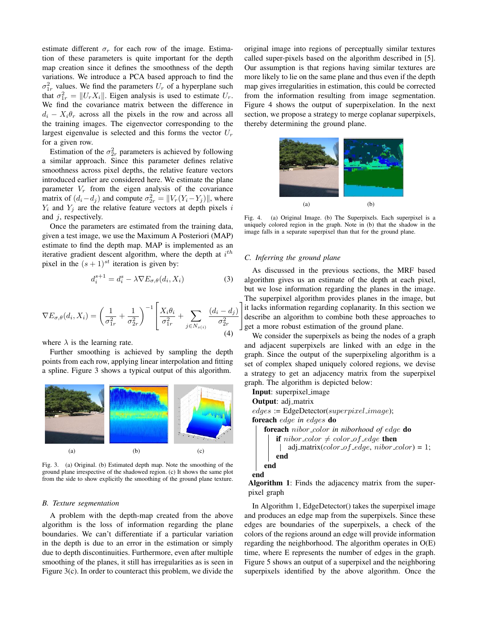estimate different  $\sigma_r$  for each row of the image. Estimation of these parameters is quite important for the depth map creation since it defines the smoothness of the depth variations. We introduce a PCA based approach to find the  $\sigma_{1r}^2$  values. We find the parameters  $U_r$  of a hyperplane such that  $\sigma_{1r}^2 = ||U_r X_i||$ . Eigen analysis is used to estimate  $U_r$ . We find the covariance matrix between the difference in  $d_i - X_i \theta_r$  across all the pixels in the row and across all the training images. The eigenvector corresponding to the largest eigenvalue is selected and this forms the vector  $U_r$ for a given row.

Estimation of the  $\sigma_{2r}^2$  parameters is achieved by following a similar approach. Since this parameter defines relative smoothness across pixel depths, the relative feature vectors introduced earlier are considered here. We estimate the plane parameter  $V_r$  from the eigen analysis of the covariance matrix of  $(d_i - d_j)$  and compute  $\sigma_{2r}^2 = ||V_r(Y_i - Y_j)||$ , where  $Y_i$  and  $Y_j$  are the relative feature vectors at depth pixels i and j, respectively.

Once the parameters are estimated from the training data, given a test image, we use the Maximum A Posteriori (MAP) estimate to find the depth map. MAP is implemented as an iterative gradient descent algorithm, where the depth at  $i^{th}$ pixel in the  $(s + 1)^{st}$  iteration is given by:

$$
d_i^{s+1} = d_i^s - \lambda \nabla E_{\sigma, \theta}(d_i, X_i)
$$
 (3)

$$
\nabla E_{\sigma,\theta}(d_i, X_i) = \left(\frac{1}{\sigma_{1r}^2} + \frac{1}{\sigma_{2r}^2}\right)^{-1} \left[\frac{X_i \theta_i}{\sigma_{1r}^2} + \sum_{j \in N_{s(i)}} \frac{(d_i - d_j)}{\sigma_{2r}^2} \right]
$$
\n(4)

where  $\lambda$  is the learning rate.

Further smoothing is achieved by sampling the depth points from each row, applying linear interpolation and fitting a spline. Figure 3 shows a typical output of this algorithm.



Fig. 3. (a) Original. (b) Estimated depth map. Note the smoothing of the ground plane irrespective of the shadowed region. (c) It shows the same plot from the side to show explicitly the smoothing of the ground plane texture.

## *B. Texture segmentation*

A problem with the depth-map created from the above algorithm is the loss of information regarding the plane boundaries. We can't differentiate if a particular variation in the depth is due to an error in the estimation or simply due to depth discontinuities. Furthermore, even after multiple smoothing of the planes, it still has irregularities as is seen in Figure 3(c). In order to counteract this problem, we divide the

original image into regions of perceptually similar textures called super-pixels based on the algorithm described in [5]. Our assumption is that regions having similar textures are more likely to lie on the same plane and thus even if the depth map gives irregularities in estimation, this could be corrected from the information resulting from image segmentation. Figure 4 shows the output of superpixelation. In the next section, we propose a strategy to merge coplanar superpixels, thereby determining the ground plane.



Fig. 4. (a) Original Image. (b) The Superpixels. Each superpixel is a uniquely colored region in the graph. Note in (b) that the shadow in the image falls in a separate superpixel than that for the ground plane.

## *C. Inferring the ground plane*

 it lacks information regarding coplanarity. In this section we describe an algorithm to combine both these approaches to As discussed in the previous sections, the MRF based algorithm gives us an estimate of the depth at each pixel, but we lose information regarding the planes in the image. The superpixel algorithm provides planes in the image, but get a more robust estimation of the ground plane.

We consider the superpixels as being the nodes of a graph and adjacent superpixels are linked with an edge in the graph. Since the output of the superpixeling algorithm is a set of complex shaped uniquely colored regions, we devise a strategy to get an adjacency matrix from the superpixel graph. The algorithm is depicted below:

Input: superpixel image Output: adj\_matrix  $edges := EdgeDetector(superpixel\_image);$ foreach edge *in* edges do foreach nibor\_color in niborhood of edge do if nibor\_color  $\neq$  color\_of\_edge then adj\_matrix(color\_of\_edge, nibor\_color) = 1;  $\mathbf{I}$ end end end

Algorithm 1: Finds the adjacency matrix from the superpixel graph

In Algorithm 1, EdgeDetector() takes the superpixel image and produces an edge map from the superpixels. Since these edges are boundaries of the superpixels, a check of the colors of the regions around an edge will provide information regarding the neighborhood. The algorithm operates in O(E) time, where E represents the number of edges in the graph. Figure 5 shows an output of a superpixel and the neighboring superpixels identified by the above algorithm. Once the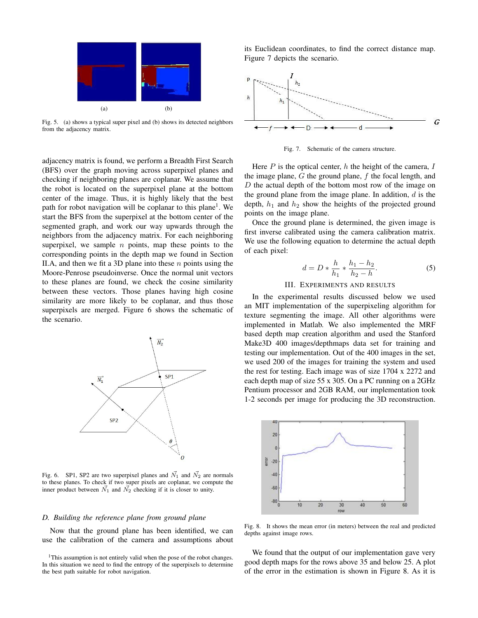

Fig. 5. (a) shows a typical super pixel and (b) shows its detected neighbors from the adjacency matrix.

adjacency matrix is found, we perform a Breadth First Search (BFS) over the graph moving across superpixel planes and checking if neighboring planes are coplanar. We assume that the robot is located on the superpixel plane at the bottom center of the image. Thus, it is highly likely that the best path for robot navigation will be coplanar to this plane<sup>1</sup>. We start the BFS from the superpixel at the bottom center of the segmented graph, and work our way upwards through the neighbors from the adjacency matrix. For each neighboring superpixel, we sample  $n$  points, map these points to the corresponding points in the depth map we found in Section II.A, and then we fit a 3D plane into these  $n$  points using the Moore-Penrose pseudoinverse. Once the normal unit vectors to these planes are found, we check the cosine similarity between these vectors. Those planes having high cosine similarity are more likely to be coplanar, and thus those superpixels are merged. Figure 6 shows the schematic of the scenario.



Fig. 6. SP1, SP2 are two superpixel planes and  $\vec{N_1}$  and  $\vec{N_2}$  are normals to these planes. To check if two super pixels are coplanar, we compute the inner product between  $\vec{N_1}$  and  $\vec{N_2}$  checking if it is closer to unity.

#### *D. Building the reference plane from ground plane*

Now that the ground plane has been identified, we can use the calibration of the camera and assumptions about its Euclidean coordinates, to find the correct distance map. Figure 7 depicts the scenario.



Fig. 7. Schematic of the camera structure.

Here  $P$  is the optical center,  $h$  the height of the camera,  $I$ the image plane,  $G$  the ground plane,  $f$  the focal length, and  $D$  the actual depth of the bottom most row of the image on the ground plane from the image plane. In addition,  $d$  is the depth,  $h_1$  and  $h_2$  show the heights of the projected ground points on the image plane.

Once the ground plane is determined, the given image is first inverse calibrated using the camera calibration matrix. We use the following equation to determine the actual depth of each pixel:

$$
d = D * \frac{h}{h_1} * \frac{h_1 - h_2}{h_2 - h}.
$$
 (5)

# III. EXPERIMENTS AND RESULTS

In the experimental results discussed below we used an MIT implementation of the superpixeling algorithm for texture segmenting the image. All other algorithms were implemented in Matlab. We also implemented the MRF based depth map creation algorithm and used the Stanford Make3D 400 images/depthmaps data set for training and testing our implementation. Out of the 400 images in the set, we used 200 of the images for training the system and used the rest for testing. Each image was of size 1704 x 2272 and each depth map of size 55 x 305. On a PC running on a 2GHz Pentium processor and 2GB RAM, our implementation took 1-2 seconds per image for producing the 3D reconstruction.



Fig. 8. It shows the mean error (in meters) between the real and predicted depths against image rows.

We found that the output of our implementation gave very good depth maps for the rows above 35 and below 25. A plot of the error in the estimation is shown in Figure 8. As it is

<sup>&</sup>lt;sup>1</sup>This assumption is not entirely valid when the pose of the robot changes. In this situation we need to find the entropy of the superpixels to determine the best path suitable for robot navigation.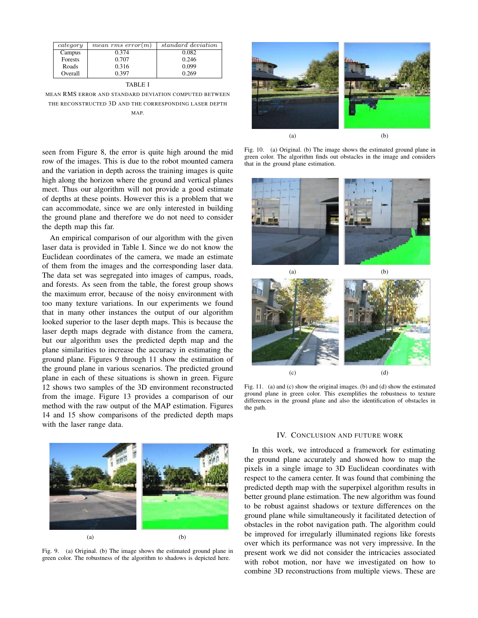| category | mean rms error(m) | standard deviation |
|----------|-------------------|--------------------|
| Campus   | 0.374             | 0.082              |
| Forests  | 0.707             | 0.246              |
| Roads    | 0.316             | 0.099              |
| Overall  | 0.397             | 0.269              |

TABLE I

MEAN RMS ERROR AND STANDARD DEVIATION COMPUTED BETWEEN THE RECONSTRUCTED 3D AND THE CORRESPONDING LASER DEPTH MAP.

seen from Figure 8, the error is quite high around the mid row of the images. This is due to the robot mounted camera and the variation in depth across the training images is quite high along the horizon where the ground and vertical planes meet. Thus our algorithm will not provide a good estimate of depths at these points. However this is a problem that we can accommodate, since we are only interested in building the ground plane and therefore we do not need to consider the depth map this far.

An empirical comparison of our algorithm with the given laser data is provided in Table I. Since we do not know the Euclidean coordinates of the camera, we made an estimate of them from the images and the corresponding laser data. The data set was segregated into images of campus, roads, and forests. As seen from the table, the forest group shows the maximum error, because of the noisy environment with too many texture variations. In our experiments we found that in many other instances the output of our algorithm looked superior to the laser depth maps. This is because the laser depth maps degrade with distance from the camera, but our algorithm uses the predicted depth map and the plane similarities to increase the accuracy in estimating the ground plane. Figures 9 through 11 show the estimation of the ground plane in various scenarios. The predicted ground plane in each of these situations is shown in green. Figure 12 shows two samples of the 3D environment reconstructed from the image. Figure 13 provides a comparison of our method with the raw output of the MAP estimation. Figures 14 and 15 show comparisons of the predicted depth maps with the laser range data.



Fig. 9. (a) Original. (b) The image shows the estimated ground plane in green color. The robustness of the algorithm to shadows is depicted here.



Fig. 10. (a) Original. (b) The image shows the estimated ground plane in green color. The algorithm finds out obstacles in the image and considers that in the ground plane estimation.



Fig. 11. (a) and (c) show the original images. (b) and (d) show the estimated ground plane in green color. This exemplifies the robustness to texture differences in the ground plane and also the identification of obstacles in the path.

## IV. CONCLUSION AND FUTURE WORK

In this work, we introduced a framework for estimating the ground plane accurately and showed how to map the pixels in a single image to 3D Euclidean coordinates with respect to the camera center. It was found that combining the predicted depth map with the superpixel algorithm results in better ground plane estimation. The new algorithm was found to be robust against shadows or texture differences on the ground plane while simultaneously it facilitated detection of obstacles in the robot navigation path. The algorithm could be improved for irregularly illuminated regions like forests over which its performance was not very impressive. In the present work we did not consider the intricacies associated with robot motion, nor have we investigated on how to combine 3D reconstructions from multiple views. These are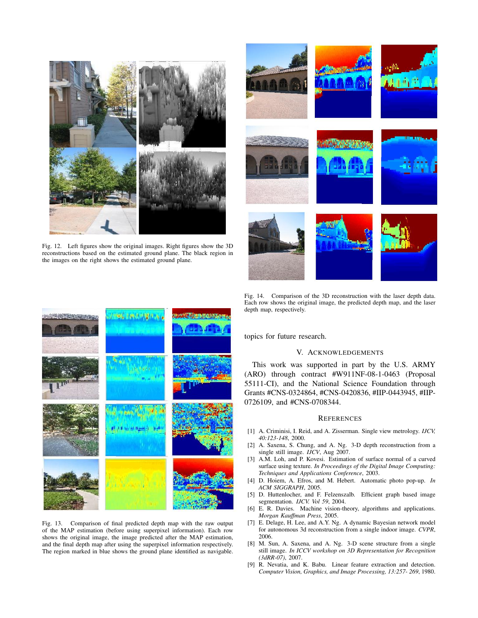

Fig. 12. Left figures show the original images. Right figures show the 3D reconstructions based on the estimated ground plane. The black region in the images on the right shows the estimated ground plane.



Fig. 14. Comparison of the 3D reconstruction with the laser depth data. Each row shows the original image, the predicted depth map, and the laser depth map, respectively.

topics for future research.

### V. ACKNOWLEDGEMENTS

This work was supported in part by the U.S. ARMY (ARO) through contract #W911NF-08-1-0463 (Proposal 55111-CI), and the National Science Foundation through Grants #CNS-0324864, #CNS-0420836, #IIP-0443945, #IIP-0726109, and #CNS-0708344.

#### **REFERENCES**

- [1] A. Criminisi, I. Reid, and A. Zisserman. Single view metrology. *IJCV, 40:123-148*, 2000.
- [2] A. Saxena, S. Chung, and A. Ng. 3-D depth reconstruction from a single still image. *IJCV*, Aug 2007.
- [3] A.M. Loh, and P. Kovesi. Estimation of surface normal of a curved surface using texture. *In Proceedings of the Digital Image Computing: Techniques and Applications Conference*, 2003.
- [4] D. Hoiem, A. Efros, and M. Hebert. Automatic photo pop-up. *In ACM SIGGRAPH*, 2005.
- [5] D. Huttenlocher, and F. Felzenszalb. Efficient graph based image segmentation. *IJCV. Vol 59*, 2004.
- [6] E. R. Davies. Machine vision-theory, algorithms and applications. *Morgan Kauffman Press*, 2005.
- [7] E. Delage, H. Lee, and A.Y. Ng. A dynamic Bayesian network model for autonomous 3d reconstruction from a single indoor image. *CVPR*, 2006.
- [8] M. Sun, A. Saxena, and A. Ng. 3-D scene structure from a single still image. *In ICCV workshop on 3D Representation for Recognition (3dRR-07)*, 2007.
- [9] R. Nevatia, and K. Babu. Linear feature extraction and detection. *Computer Vision, Graphics, and Image Processing, 13:257- 269*, 1980.

主義の元は動き



Fig. 13. Comparison of final predicted depth map with the raw output of the MAP estimation (before using superpixel information). Each row shows the original image, the image predicted after the MAP estimation, and the final depth map after using the superpixel information respectively. The region marked in blue shows the ground plane identified as navigable.